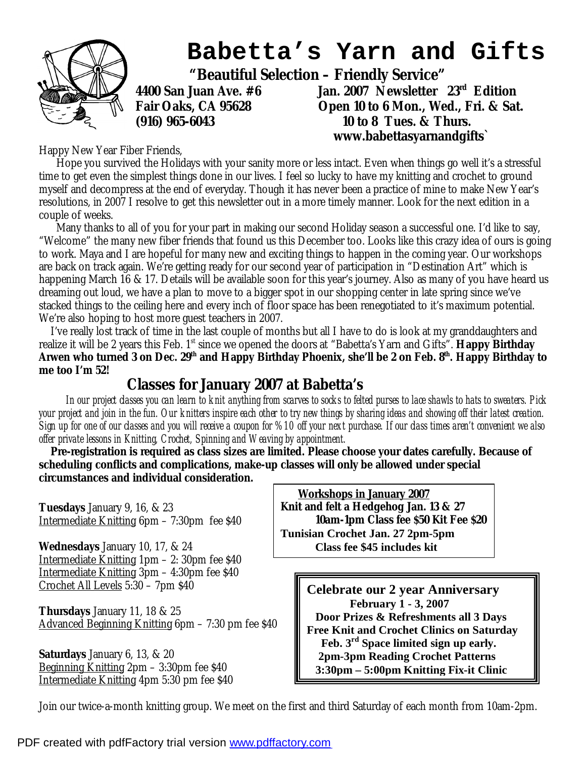

 **www.babettasyarnandgifts`** 

Happy New Year Fiber Friends,

 Hope you survived the Holidays with your sanity more or less intact. Even when things go well it's a stressful time to get even the simplest things done in our lives. I feel so lucky to have my knitting and crochet to ground myself and decompress at the end of everyday. Though it has never been a practice of mine to make New Year's resolutions, in 2007 I resolve to get this newsletter out in a more timely manner. Look for the next edition in a couple of weeks.

 Many thanks to all of you for your part in making our second Holiday season a successful one. I'd like to say, "Welcome" the many new fiber friends that found us this December too. Looks like this crazy idea of ours is going to work. Maya and I are hopeful for many new and exciting things to happen in the coming year. Our workshops are back on track again. We're getting ready for our second year of participation in "Destination Art" which is happening March 16 & 17. Details will be available soon for this year's journey. Also as many of you have heard us dreaming out loud, we have a plan to move to a bigger spot in our shopping center in late spring since we've stacked things to the ceiling here and every inch of floor space has been renegotiated to it's maximum potential. We're also hoping to host more guest teachers in 2007.

 I've really lost track of time in the last couple of months but all I have to do is look at my granddaughters and realize it will be 2 years this Feb. 1<sup>st</sup> since we opened the doors at "Babetta's Yarn and Gifts". **Happy Birthday** Arwen who turned 3 on Dec. 29<sup>th</sup> and Happy Birthday Phoenix, she'll be 2 on Feb. 8<sup>th</sup>. Happy Birthday to **me too I'm 52!** 

## **Classes for January 2007 at Babetta's**

In our project dasses you can learn to knit anything from scarves to socks to felted purses to lace shawls to hats to sweaters. Pick your project and join in the fun. Our knitters inspire each other to try new things by sharing ideas and showing off their latest creation. Sign up for one of our classes and you will receive a coupon for %10 off your next purchase. If our class times aren't convenient we also *offer private lessons in Knitting, Crochet, Spinning and Weaving by appointment.* 

 **Pre-registration is required as class sizes are limited. Please choose your dates carefully. Because of scheduling conflicts and complications, make-up classes will only be allowed under special circumstances and individual consideration.** 

**Tuesdays** January 9, 16, & 23 Intermediate Knitting 6pm – 7:30pm fee \$40

**Wednesdays** January 10, 17, & 24 Intermediate Knitting 1pm – 2: 30pm fee \$40 Intermediate Knitting 3pm – 4:30pm fee \$40 Crochet All Levels 5:30 – 7pm \$40

**Thursdays** January 11, 18 & 25 Advanced Beginning Knitting 6pm - 7:30 pm fee \$40

**Saturdays** January 6, 13, & 20 Beginning Knitting 2pm – 3:30pm fee \$40 Intermediate Knitting 4pm 5:30 pm fee \$40

 **Workshops in January 2007 Knit and felt a Hedgehog Jan. 13 & 27 10am-1pm Class fee \$50 Kit Fee \$20 Tunisian Crochet Jan. 27 2pm-5pm Class fee \$45 includes kit** 

> **Celebrate our 2 year Anniversary February 1 - 3, 2007 Door Prizes & Refreshments all 3 Days Free Knit and Crochet Clinics on Saturday Feb. 3rd Space limited sign up early. 2pm-3pm Reading Crochet Patterns 3:30pm – 5:00pm Knitting Fix-it Clinic**

Join our twice-a-month knitting group. We meet on the first and third Saturday of each month from 10am-2pm.